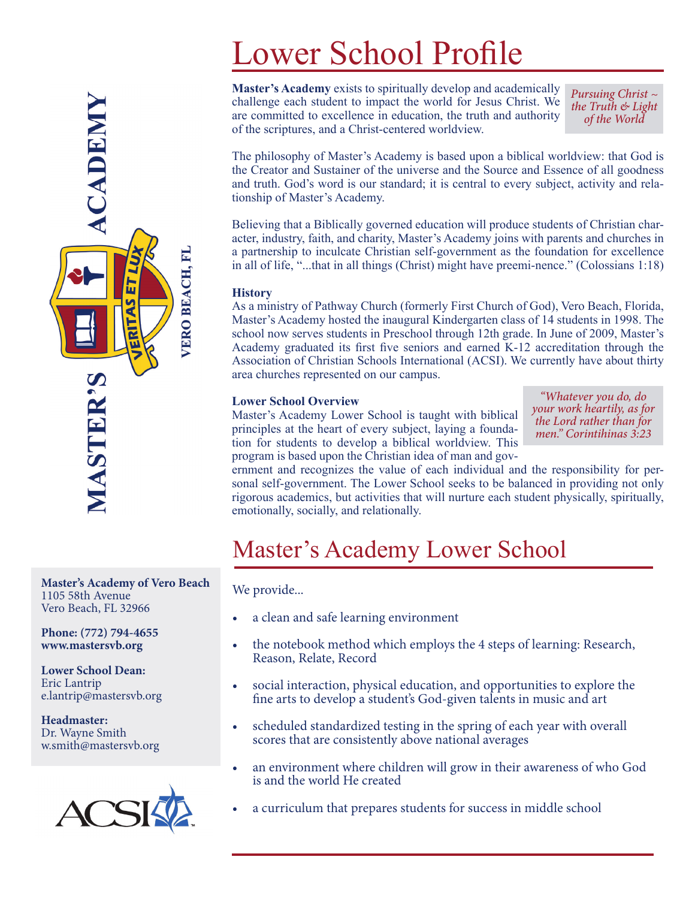# Lower School Profile

**Master's Academy** exists to spiritually develop and academically challenge each student to impact the world for Jesus Christ. We are committed to excellence in education, the truth and authority of the scriptures, and a Christ-centered worldview.

*Pursuing Christ ~ the Truth & Light of the World*

The philosophy of Master's Academy is based upon a biblical worldview: that God is the Creator and Sustainer of the universe and the Source and Essence of all goodness and truth. God's word is our standard; it is central to every subject, activity and relationship of Master's Academy.

Believing that a Biblically governed education will produce students of Christian character, industry, faith, and charity, Master's Academy joins with parents and churches in a partnership to inculcate Christian self-government as the foundation for excellence in all of life, "...that in all things (Christ) might have preemi-nence." (Colossians 1:18)

#### **History**

As a ministry of Pathway Church (formerly First Church of God), Vero Beach, Florida, Master's Academy hosted the inaugural Kindergarten class of 14 students in 1998. The school now serves students in Preschool through 12th grade. In June of 2009, Master's Academy graduated its first five seniors and earned K-12 accreditation through the Association of Christian Schools International (ACSI). We currently have about thirty area churches represented on our campus.

#### **Lower School Overview**

Master's Academy Lower School is taught with biblical principles at the heart of every subject, laying a foundation for students to develop a biblical worldview. This program is based upon the Christian idea of man and gov-

*"Whatever you do, do your work heartily, as for the Lord rather than for men." Corintihinas 3:23*

ernment and recognizes the value of each individual and the responsibility for personal self-government. The Lower School seeks to be balanced in providing not only rigorous academics, but activities that will nurture each student physically, spiritually, emotionally, socially, and relationally.

### Master's Academy Lower School

We provide...

- a clean and safe learning environment
- the notebook method which employs the 4 steps of learning: Research, Reason, Relate, Record
- social interaction, physical education, and opportunities to explore the fine arts to develop a student's God-given talents in music and art
- scheduled standardized testing in the spring of each year with overall scores that are consistently above national averages
- an environment where children will grow in their awareness of who God is and the world He created
- a curriculum that prepares students for success in middle school

**Master's Academy of Vero Beach** 1105 58th Avenue Vero Beach, FL 32966

**Phone: (772) 794-4655 www.mastersvb.org**

**MASTER'S** 

**ACADEMY** 

LUX

占

**AS** 

ERIT

VERO BEACH, FL

**Lower School Dean:** Eric Lantrip e.lantrip@mastersvb.org

**Headmaster:** Dr. Wayne Smith w.smith@mastersvb.org